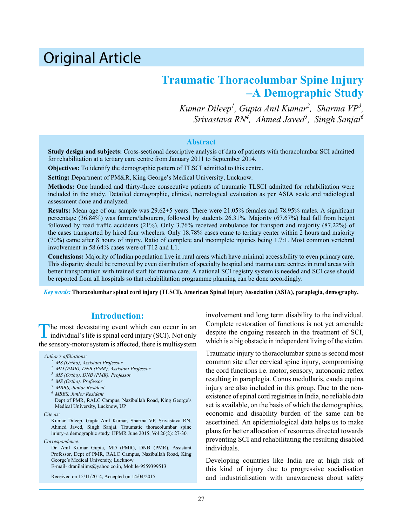# Original Article

# **Traumatic Thoracolumbar Spine Injury –A Demographic Study**

*Kumar Dileep1 , Gupta Anil Kumar2 , Sharma VP<sup>3</sup> , Srivastava RN4 , Ahmed Javed5 , Singh Sanjai6*

#### **Abstract**

**Study design and subjects:** Cross-sectional descriptive analysis of data of patients with thoracolumbar SCI admitted for rehabilitation at a tertiary care centre from January 2011 to September 2014.

**Objectives:** To identify the demographic pattern of TLSCI admitted to this centre.

**Setting:** Department of PM&R, King George's Medical University, Lucknow.

**Methods:** One hundred and thirty-three consecutive patients of traumatic TLSCI admitted for rehabilitation were included in the study. Detailed demographic, clinical, neurological evaluation as per ASIA scale and radiological assessment done and analyzed.

**Results:** Mean age of our sample was 29.62±5 years. There were 21.05% females and 78.95% males. A significant percentage (36.84%) was farmers/labourers, followed by students 26.31%. Majority (67.67%) had fall from height followed by road traffic accidents (21%). Only 3.76% received ambulance for transport and majority (87.22%) of the cases transported by hired four wheelers. Only 18.78% cases came to tertiary center within 2 hours and majority (70%) came after 8 hours of injury. Ratio of complete and incomplete injuries being 1.7:1. Most common vertebral involvement in 58.64% cases were of T12 and L1.

**Conclusions:** Majority of Indian population live in rural areas which have minimal accessibility to even primary care. This disparity should be removed by even distribution of specialty hospital and trauma care centres in rural areas with better transportation with trained staff for trauma care. A national SCI registry system is needed and SCI case should be reported from all hospitals so that rehabilitation programme planning can be done accordingly.

*Key words:* **Thoracolumbar spinal cord injury (TLSCI), American Spinal Injury Association (ASIA), paraplegia, demography.**

# **Introduction:**

The most devastating event which can occur in an individual's life is spinal cord injury (SCI). Not only the sensory-motor system is affected, there is multisystem

#### *Author's affiliations:*

- *<sup>1</sup> MS (Ortho), Assistant Professor*
- *<sup>2</sup> MD (PMR), DNB (PMR), Assistant Professor*
- *<sup>3</sup> MS (Ortho), DNB (PMR), Professor*
- *<sup>4</sup> MS (Ortho), Professor*
- *<sup>5</sup> MBBS, Junior Resident 6 MBBS, Junior Resident*
- 

Dept of PMR, RALC Campus, Nazibullah Road, King George's Medical University, Lucknow, UP

*Cite as:*

Kumar Dileep, Gupta Anil Kumar, Sharma VP, Srivastava RN, Ahmed Javed, Singh Sanjai. Traumatic thoracolumbar spine injury–a demographic study. IJPMR June 2015; Vol 26(2): 27-30.

*Correspondence:*

Dr. Anil Kumar Gupta, MD (PMR), DNB (PMR), Assistant Professor, Dept of PMR, RALC Campus, Nazibullah Road, King George's Medical University, Lucknow E-mail- dranilaiims@yahoo.co.in, Mobile-9559399513

Received on 15/11/2014, Accepted on 14/04/2015

involvement and long term disability to the individual. Complete restoration of functions is not yet amenable despite the ongoing research in the treatment of SCI, which is a big obstacle in independent living of the victim.

Traumatic injury to thoracolumbar spine is second most common site after cervical spine injury, compromising the cord functions i.e. motor, sensory, autonomic reflex resulting in paraplegia. Conus medullaris, cauda equina injury are also included in this group. Due to the nonexistence of spinal cord registries in India, no reliable data set is available, on the basis of which the demographics, economic and disability burden of the same can be ascertained. An epidemiological data helps us to make plans for better allocation of resources directed towards preventing SCI and rehabilitating the resulting disabled individuals.

Developing countries like India are at high risk of this kind of injury due to progressive socialisation and industrialisation with unawareness about safety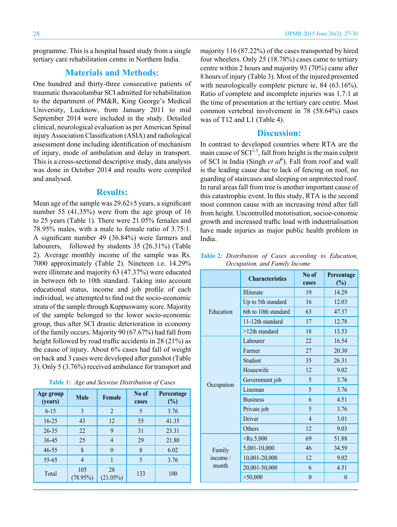programme. This is a hospital based study from a single tertiary care rehabilitation centre in Northern India.

## **Materials and Methods:**

One hundred and thirty-three consecutive patients of traumatic thoracolumbar SCI admitted for rehabilitation to the department of PM&R, King George's Medical University, Lucknow, from January 2011 to mid September 2014 were included in the study. Detailed clinical, neurological evaluation as per American Spinal injury Association Classification (ASIA) and radiological assessment done including identification of mechanism of injury, mode of ambulation and delay in transport. This is a cross-sectional descriptive study, data analysis was done in October 2014 and results were compiled and analysed.

#### **Results:**

Mean age of the sample was  $29.62 \pm 5$  years, a significant number 55 (41.35%) were from the age group of 16 to 25 years (Table 1). There were 21.05% females and 78.95% males, with a male to female ratio of 3.75:1. A significant number 49 (36.84%) were farmers and labourers, followed by students 35 (26.31%) (Table 2). Average monthly income of the sample was Rs. 7000 approximately (Table 2). Nineteen i.e. 14.29% were illiterate and majority 63 (47.37%) were educated in between 6th to 10th standard. Taking into account educational status, income and job profile of each individual, we attempted to find out the socio-economic strata of the sample through Kuppuswamy score. Majority of the sample belonged to the lower socio-economic group, thus after SCI drastic deterioration in economy of the family occurs. Majority 90 (67.67%) had fall from height followed by road traffic accidents in 28 (21%) as the cause of injury. About 6% cases had fall of weight on back and 3 cases were developed after gunshot (Table 3). Only 5 (3.76%) received ambulance for transport and

|  |  |  | Table 1: Age and Sexwise Distribution of Cases |  |  |
|--|--|--|------------------------------------------------|--|--|
|--|--|--|------------------------------------------------|--|--|

| Age group<br>(years) | <b>Male</b>        | Female            | No of<br>cases | Percentage<br>(%) |
|----------------------|--------------------|-------------------|----------------|-------------------|
| $6 - 15$             | 3                  | $\overline{2}$    | 5              | 3.76              |
| $16 - 25$            | 43                 | 12                | 55             | 41.35             |
| $26 - 35$            | 22                 | 9                 | 31             | 23.31             |
| $36 - 45$            | 25                 |                   | 29             | 21.80             |
| $46 - 55$            | 8                  |                   | 8              | 6.02              |
| $55 - 65$            |                    |                   | 5              | 3.76              |
| Total                | 105<br>$(78.95\%)$ | 28<br>$(21.05\%)$ | 133            | 100               |

majority 116 (87.22%) of the cases transported by hired four wheelers. Only 25 (18.78%) cases came to tertiary centre within 2 hours and majority 93 (70%) came after 8 hours of injury (Table 3). Most of the injured presented with neurologically complete picture ie, 84 (63.16%). Ratio of complete and incomplete injuries was 1.7:1 at the time of presentation at the tertiary care centre. Most common vertebral involvement in 78 (58.64%) cases was of T12 and L1 (Table 4).

### **Discussion:**

In contrast to developed countries where RTA are the main cause of  $SCI<sup>1-5</sup>$ , fall from height is the main culprit of SCI in India (Singh et al<sup>6</sup>). Fall from roof and wall is the leading cause due to lack of fencing on roof, no guarding of staircases and sleeping on unprotected roof. In rural areas fall from tree is another important cause of this catastrophic event. In this study, RTA is the second most common cause with an increasing trend after fall from height. Uncontrolled motorisation, socioe-conomic growth and increased traffic load with industrialisation have made injuries as major public health problem in India.

|            | <b>Characteristics</b>     | No of<br>cases | Percentage<br>(%) |
|------------|----------------------------|----------------|-------------------|
|            | Illiterate                 | 19             | 14.29             |
|            | Up to 5th standard         | 16             | 12.03             |
| Education  | 6th to 10th standard<br>63 |                | 47.37             |
|            | 11-12th standard           | 17             | 12.78             |
|            | $>12$ th standard          | 18             | 13.53             |
|            | Labourer                   | 22             | 16.54             |
|            | Farmer                     | 27             | 20.30             |
|            | Student                    | 35             | 26.31             |
|            | Housewife                  | 12             | 9.02              |
|            | Government job             | 5              | 3.76              |
| Occupation | Lineman                    | 5              | 3.76              |
|            | <b>Business</b>            | 6              | 4.51              |
|            | Private job                | 5              | 3.76              |
|            | Driver                     | $\overline{4}$ | 3.01              |
|            | Others                     | 12             | 9.03              |
| Family     | $<$ Rs.5,000               | 69             | 51.88             |
|            | 5,001-10,000               | 46             | 34.59             |
| income $/$ | 10,001-20,000              | 12             | 9.02              |
| month      | 20,001-50,000              | 6              | 4.51              |
|            | > 50,000                   | $\overline{0}$ | $\theta$          |

#### **Table 2:** *Distribution of Cases according to Education, Occupation, and Family Income*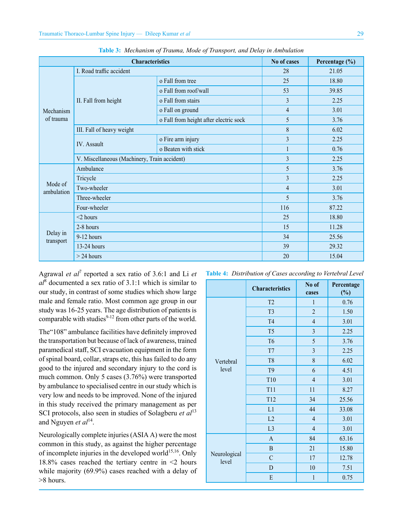| <b>Characteristics</b> |                                              |                                        | No of cases    | Percentage (%) |
|------------------------|----------------------------------------------|----------------------------------------|----------------|----------------|
|                        | I. Road traffic accident                     |                                        | 28             | 21.05          |
| Mechanism<br>of trauma | II. Fall from height                         | o Fall from tree                       | 25             | 18.80          |
|                        |                                              | o Fall from roof/wall                  | 53             | 39.85          |
|                        |                                              | o Fall from stairs                     | 3              | 2.25           |
|                        |                                              | o Fall on ground                       | $\overline{4}$ | 3.01           |
|                        |                                              | o Fall from height after electric sock | 5              | 3.76           |
|                        | III. Fall of heavy weight                    |                                        | 8              | 6.02           |
|                        | <b>IV.</b> Assault                           | o Fire arm injury                      | $\overline{3}$ | 2.25           |
|                        |                                              | o Beaten with stick                    | 1              | 0.76           |
|                        | V. Miscellaneous (Machinery, Train accident) |                                        | $\overline{3}$ | 2.25           |
| Mode of<br>ambulation  | Ambulance                                    |                                        | 5              | 3.76           |
|                        | Tricycle                                     |                                        | $\overline{3}$ | 2.25           |
|                        | Two-wheeler                                  |                                        | $\overline{4}$ | 3.01           |
|                        | Three-wheeler                                |                                        | 5              | 3.76           |
|                        | Four-wheeler                                 | 116                                    | 87.22          |                |
| Delay in<br>transport  | $<$ 2 hours                                  | 25                                     | 18.80          |                |
|                        | 2-8 hours                                    | 15                                     | 11.28          |                |
|                        | 9-12 hours                                   | 34                                     | 25.56          |                |
|                        | 13-24 hours                                  | 39                                     | 29.32          |                |
|                        | $> 24$ hours                                 |                                        | 20             | 15.04          |

**Table 3:** *Mechanism of Trauma, Mode of Transport, and Delay in Ambulation*

Agrawal *et al*<sup>7</sup> reported a sex ratio of 3.6:1 and Li *et al*8 documented a sex ratio of 3.1:1 which is similar to our study, in contrast of some studies which show large male and female ratio. Most common age group in our study was 16-25 years. The age distribution of patients is comparable with studies $9-12$  from other parts of the world.

The"108" ambulance facilities have definitely improved the transportation but because of lack of awareness, trained paramedical staff, SCI evacuation equipment in the form of spinal board, collar, straps etc, this has failed to do any good to the injured and secondary injury to the cord is much common. Only 5 cases (3.76%) were transported by ambulance to specialised centre in our study which is very low and needs to be improved. None of the injured in this study received the primary management as per SCI protocols, also seen in studies of Solagberu *et al*<sup>13</sup> and Nguyen *et al*14.

Neurologically complete injuries (ASIA A) were the most common in this study, as against the higher percentage of incomplete injuries in the developed world<sup>15,16</sup>. Only 18.8% cases reached the tertiary centre in <2 hours while majority (69.9%) cases reached with a delay of >8 hours.

|                       | <b>Characteristics</b> | No of<br>cases | Percentage<br>$(\%)$ |
|-----------------------|------------------------|----------------|----------------------|
|                       | T <sub>2</sub>         | $\mathbf{1}$   | 0.76                 |
|                       | T <sub>3</sub>         | $\overline{2}$ | 1.50                 |
|                       | T <sub>4</sub>         | $\overline{4}$ | 3.01                 |
|                       | T <sub>5</sub>         | $\mathfrak{Z}$ | 2.25                 |
|                       | T <sub>6</sub>         | 5              | 3.76                 |
|                       | T7                     | $\overline{3}$ | 2.25                 |
| Vertebral             | T <sub>8</sub>         | 8              | 6.02                 |
| level                 | T <sub>9</sub>         | 6              | 4.51                 |
|                       | T10                    | $\overline{4}$ | 3.01                 |
|                       | <b>T11</b>             | 11             | 8.27                 |
|                       | T <sub>12</sub>        | 34             | 25.56                |
|                       | L1                     | 44             | 33.08                |
|                       | L2                     | $\overline{4}$ | 3.01                 |
|                       | L <sub>3</sub>         | $\overline{4}$ | 3.01                 |
| Neurological<br>level | $\mathbf{A}$           | 84             | 63.16                |
|                       | $\, {\bf B}$           | 21             | 15.80                |
|                       | $\mathcal{C}$          | 17             | 12.78                |
|                       | D                      | 10             | 7.51                 |
|                       | $\mathbf E$            | $\mathbf{1}$   | 0.75                 |

**Table 4:** *Distribution of Cases according to Vertebral Level*